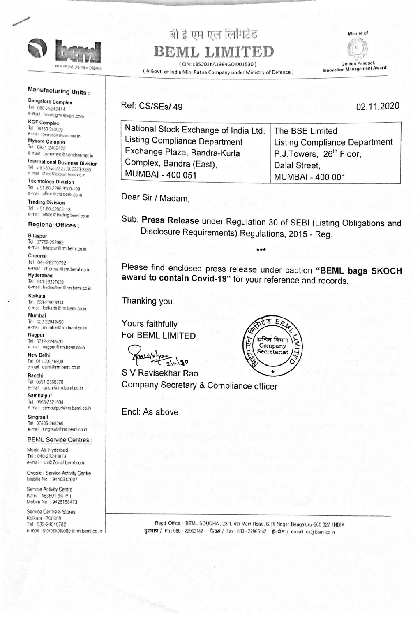

MEW FRONTIERS NEW DREAMS

# बी ई एम एल लिमिटेड

## BEML LIMITED

(CIN: L35202KA1964GOI001530) (A Govt. of India Mini Ratna Company under Ministry of Defence) Winner of



Golden Peacock **Innovation Management Award** 

### **Manufacturing Units:**

**Bangalore Complex** Tel: 080-25242414 e-mail bemicgmr@vsnl.com

**KGF Complex** Tel 08153 263020 e-mail. bemlede@vsnl.net in

Mysore Complex Tel 0821-2402422 e-mail: bemimys@sancharmet.in

**International Business Division** Tel: + 91-80-2222 2730, 2223 3350 e-mail office@export.beml.co.in

**Technology Division** Tel + 91-80-2296 3100-109 e-mail office@ctd.beml.co.in

## Ref: CS/SEs/49

National Stock Exchange of India Ltd. Listing Compliance Department Exchange Plaza, Bandra-Kurla Complex, Bandra (East), MUMBAI - 400 051

02.11.2020

The BSE Limited **Listing Compliance Department** P.J.Towers, 26<sup>th</sup> Floor, Dalal Street, **MUMBAI - 400 001** 

### **Trading Division**

Tel: + 91-80-22963113 e-mail: office @trading.beml.co.in

#### **Regional Offices:**

#### **Bilaspur**

Tel: 07752-252082 e-mail: bilaspur@rm.beml.co.in

#### Chennai

Tel: 044-28270792 e-mail chennai@rm.beml.co.in

#### Hyderabad

Tel: 040-23227032 e-mail: hyderabad@rm.beml.co.in

#### Kolkata

Tel: 033-22826314 e-mail kolkatta@rm.beml co.in

#### Mumbai

Tel: 022-22049490 e-mail . mumbai@rm.beml.co.in

#### Nagpur

Tel: 0712-2248435 e-mail nagpur@rm.beml.co.in

#### **New Delhi**

Tel 011-23316500 e-mail delhi@rm.beml.co.in

#### Ranchi

Tel: 0651-2560370 e-mail ranchi@rm.beml.co.in

## Dear Sir / Madam,

Sub: Press Release under Regulation 30 of SEBI (Listing Obligations and Disclosure Requirements) Regulations, 2015 - Reg.

\*\*\*

Please find enclosed press release under caption "BEML bags SKOCH award to contain Covid-19" for your reference and records.

Thanking you.

Yours faithfully For BEML LIMITED



Company Secretary & Compliance officer



Sambalpur Tel: 0663-2521604 e-mail: sembalpur@rm.beml.co.in

Singraull Tel: 07805-268260 e-mail: singrauli@rm.beml.co.in

**BEML Service Centres:** 

Moula Ali, Hyderbad Tel: 040-27240873 e-mail: sh@Zonal.beml.co.in

Ongole - Service Activity Centre Mobile No.: 9440312607

Service Activity Centre Katni - 483501 (M. P.) Mobile No.: 9425156473

Service Centre & Stores Kolkata - 700088 Tel: 033-24010782 e-mail: storeskolkotte@rm.beml.co.in Encl: As above

Regd Office.: 'BEML SOUDHA', 23/1, 4th Main Road, S. R. Nagar, Bengaluru-560 027. INDIA दूरभाष / Ph: 080 - 22963142 फैक्स / Fax: 080 - 22963142 ई-मेल / e-mail: cs@beml.co.in